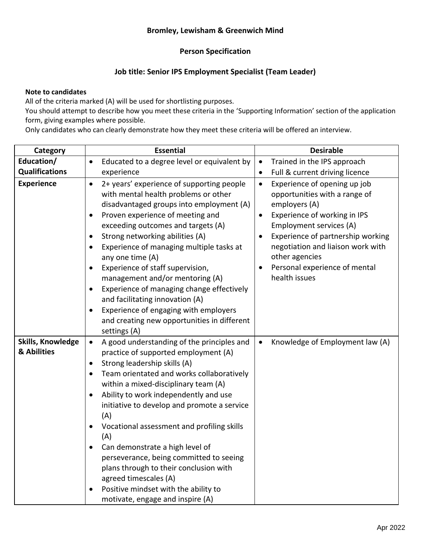## **Person Specification**

## **Job title: Senior IPS Employment Specialist (Team Leader)**

## **Note to candidates**

All of the criteria marked (A) will be used for shortlisting purposes.

You should attempt to describe how you meet these criteria in the 'Supporting Information' section of the application form, giving examples where possible.

Only candidates who can clearly demonstrate how they meet these criteria will be offered an interview.

| Category                         | <b>Essential</b>                                                                                                                                                                                                                                                                                                                                                                                                                                                                                                                                                                                                                             | <b>Desirable</b>                                                                                                                                                                                                                                                                                                                            |
|----------------------------------|----------------------------------------------------------------------------------------------------------------------------------------------------------------------------------------------------------------------------------------------------------------------------------------------------------------------------------------------------------------------------------------------------------------------------------------------------------------------------------------------------------------------------------------------------------------------------------------------------------------------------------------------|---------------------------------------------------------------------------------------------------------------------------------------------------------------------------------------------------------------------------------------------------------------------------------------------------------------------------------------------|
| Education/                       | Educated to a degree level or equivalent by<br>$\bullet$                                                                                                                                                                                                                                                                                                                                                                                                                                                                                                                                                                                     | Trained in the IPS approach<br>$\bullet$                                                                                                                                                                                                                                                                                                    |
| <b>Qualifications</b>            | experience                                                                                                                                                                                                                                                                                                                                                                                                                                                                                                                                                                                                                                   | Full & current driving licence<br>$\bullet$                                                                                                                                                                                                                                                                                                 |
| <b>Experience</b>                | 2+ years' experience of supporting people<br>$\bullet$<br>with mental health problems or other<br>disadvantaged groups into employment (A)<br>Proven experience of meeting and<br>$\bullet$<br>exceeding outcomes and targets (A)<br>Strong networking abilities (A)<br>Experience of managing multiple tasks at<br>any one time (A)<br>Experience of staff supervision,<br>management and/or mentoring (A)<br>Experience of managing change effectively<br>and facilitating innovation (A)<br>Experience of engaging with employers<br>$\bullet$<br>and creating new opportunities in different<br>settings (A)                             | Experience of opening up job<br>$\bullet$<br>opportunities with a range of<br>employers (A)<br>Experience of working in IPS<br>$\bullet$<br>Employment services (A)<br>Experience of partnership working<br>$\bullet$<br>negotiation and liaison work with<br>other agencies<br>Personal experience of mental<br>$\bullet$<br>health issues |
| Skills, Knowledge<br>& Abilities | A good understanding of the principles and<br>$\bullet$<br>practice of supported employment (A)<br>Strong leadership skills (A)<br>$\bullet$<br>Team orientated and works collaboratively<br>$\bullet$<br>within a mixed-disciplinary team (A)<br>Ability to work independently and use<br>initiative to develop and promote a service<br>(A)<br>Vocational assessment and profiling skills<br>$\bullet$<br>(A)<br>Can demonstrate a high level of<br>perseverance, being committed to seeing<br>plans through to their conclusion with<br>agreed timescales (A)<br>Positive mindset with the ability to<br>motivate, engage and inspire (A) | Knowledge of Employment law (A)<br>$\bullet$                                                                                                                                                                                                                                                                                                |